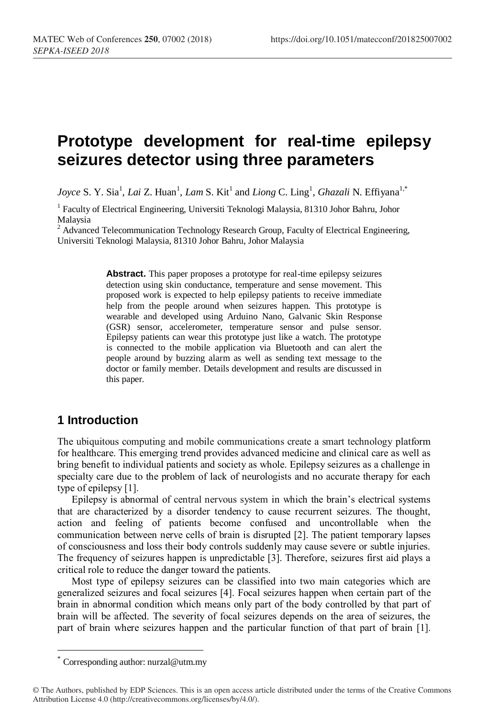# **Prototype development for real-time epilepsy seizures detector using three parameters**

*Joyce* S. Y. Sia<sup>1</sup>, *Lai* Z. Huan<sup>1</sup>, *Lam* S. Kit<sup>1</sup> and *Liong* C. Ling<sup>1</sup>, *Ghazali* N. Effiyana<sup>1,\*</sup>

<sup>1</sup> Faculty of Electrical Engineering, Universiti Teknologi Malaysia, 81310 Johor Bahru, Johor Malaysia

 $2$  Advanced Telecommunication Technology Research Group, Faculty of Electrical Engineering, Universiti Teknologi Malaysia, 81310 Johor Bahru, Johor Malaysia

> **Abstract.** This paper proposes a prototype for real-time epilepsy seizures detection using skin conductance, temperature and sense movement. This proposed work is expected to help epilepsy patients to receive immediate help from the people around when seizures happen. This prototype is wearable and developed using Arduino Nano, Galvanic Skin Response (GSR) sensor, accelerometer, temperature sensor and pulse sensor. Epilepsy patients can wear this prototype just like a watch. The prototype is connected to the mobile application via Bluetooth and can alert the people around by buzzing alarm as well as sending text message to the doctor or family member. Details development and results are discussed in this paper.

# **1 Introduction**

The ubiquitous computing and mobile communications create a smart technology platform for healthcare. This emerging trend provides advanced medicine and clinical care as well as bring benefit to individual patients and society as whole. Epilepsy seizures as a challenge in specialty care due to the problem of lack of neurologists and no accurate therapy for each type of epilepsy [1].

Epilepsy is abnormal of central nervous system in which the brain's electrical systems that are characterized by a disorder tendency to cause recurrent seizures. The thought, action and feeling of patients become confused and uncontrollable when the communication between nerve cells of brain is disrupted [2]. The patient temporary lapses of consciousness and loss their body controls suddenly may cause severe or subtle injuries. The frequency of seizures happen is unpredictable [3]. Therefore, seizures first aid plays a critical role to reduce the danger toward the patients.

Most type of epilepsy seizures can be classified into two main categories which are generalized seizures and focal seizures [4]. Focal seizures happen when certain part of the brain in abnormal condition which means only part of the body controlled by that part of brain will be affected. The severity of focal seizures depends on the area of seizures, the part of brain where seizures happen and the particular function of that part of brain [1].

Corresponding author: nurzal@utm.my

<sup>©</sup> The Authors, published by EDP Sciences. This is an open access article distributed under the terms of the Creative Commons Attribution License 4.0 (http://creativecommons.org/licenses/by/4.0/).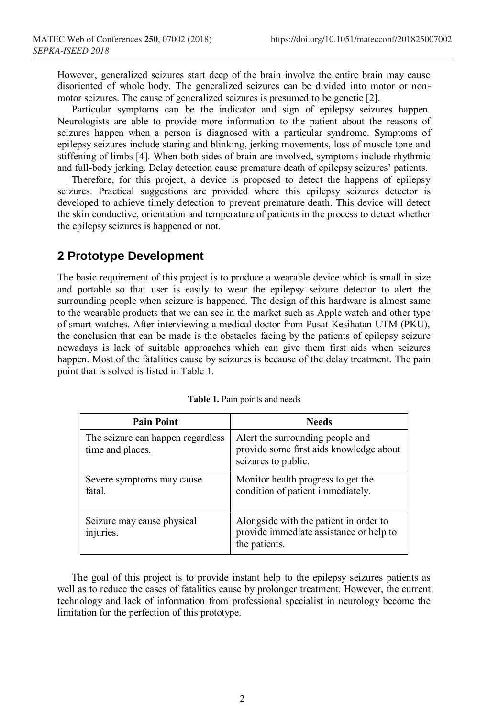However, generalized seizures start deep of the brain involve the entire brain may cause disoriented of whole body. The generalized seizures can be divided into motor or nonmotor seizures. The cause of generalized seizures is presumed to be genetic [2].

Particular symptoms can be the indicator and sign of epilepsy seizures happen. Neurologists are able to provide more information to the patient about the reasons of seizures happen when a person is diagnosed with a particular syndrome. Symptoms of epilepsy seizures include staring and blinking, jerking movements, loss of muscle tone and stiffening of limbs [4]. When both sides of brain are involved, symptoms include rhythmic and full-body jerking. Delay detection cause premature death of epilepsy seizures' patients.

Therefore, for this project, a device is proposed to detect the happens of epilepsy seizures. Practical suggestions are provided where this epilepsy seizures detector is developed to achieve timely detection to prevent premature death. This device will detect the skin conductive, orientation and temperature of patients in the process to detect whether the epilepsy seizures is happened or not.

#### **2 Prototype Development**

The basic requirement of this project is to produce a wearable device which is small in size and portable so that user is easily to wear the epilepsy seizure detector to alert the surrounding people when seizure is happened. The design of this hardware is almost same to the wearable products that we can see in the market such as Apple watch and other type of smart watches. After interviewing a medical doctor from Pusat Kesihatan UTM (PKU), the conclusion that can be made is the obstacles facing by the patients of epilepsy seizure nowadays is lack of suitable approaches which can give them first aids when seizures happen. Most of the fatalities cause by seizures is because of the delay treatment. The pain point that is solved is listed in Table 1.

| <b>Pain Point</b>                                     | <b>Needs</b>                                                                                        |  |  |
|-------------------------------------------------------|-----------------------------------------------------------------------------------------------------|--|--|
| The seizure can happen regardless<br>time and places. | A lert the surrounding people and<br>provide some first aids knowledge about<br>seizures to public. |  |  |
| Severe symptoms may cause<br>fatal.                   | Monitor health progress to get the<br>condition of patient immediately.                             |  |  |
| Seizure may cause physical<br>injuries.               | Alongside with the patient in order to<br>provide immediate assistance or help to<br>the patients.  |  |  |

The goal of this project is to provide instant help to the epilepsy seizures patients as well as to reduce the cases of fatalities cause by prolonger treatment. However, the current technology and lack of information from professional specialist in neurology become the limitation for the perfection of this prototype.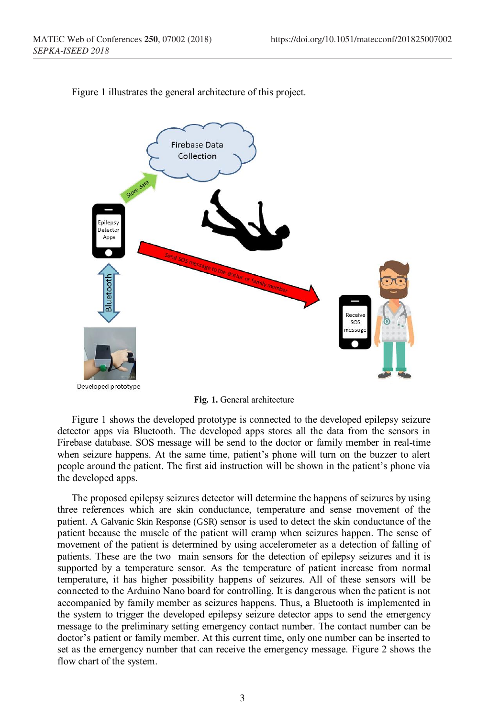

Figure 1 illustrates the general architecture of this project.

**Fig. 1.** General architecture

Figure 1 shows the developed prototype is connected to the developed epilepsy seizure detector apps via Bluetooth. The developed apps stores all the data from the sensors in Firebase database. SOS message will be send to the doctor or family member in real-time when seizure happens. At the same time, patient's phone will turn on the buzzer to alert people around the patient. The first aid instruction will be shown in the patient's phone via the developed apps.

The proposed epilepsy seizures detector will determine the happens of seizures by using three references which are skin conductance, temperature and sense movement of the patient. A Galvanic Skin Response (GSR) sensor is used to detect the skin conductance of the patient because the muscle of the patient will cramp when seizures happen. The sense of movement of the patient is determined by using accelerometer as a detection of falling of patients. These are the two main sensors for the detection of epilepsy seizures and it is supported by a temperature sensor. As the temperature of patient increase from normal temperature, it has higher possibility happens of seizures. All of these sensors will be connected to the Arduino Nano board for controlling. It is dangerous when the patient is not accompanied by family member as seizures happens. Thus, a Bluetooth is implemented in the system to trigger the developed epilepsy seizure detector apps to send the emergency message to the preliminary setting emergency contact number. The contact number can be doctor's patient or family member. At this current time, only one number can be inserted to set as the emergency number that can receive the emergency message. Figure 2 shows the flow chart of the system.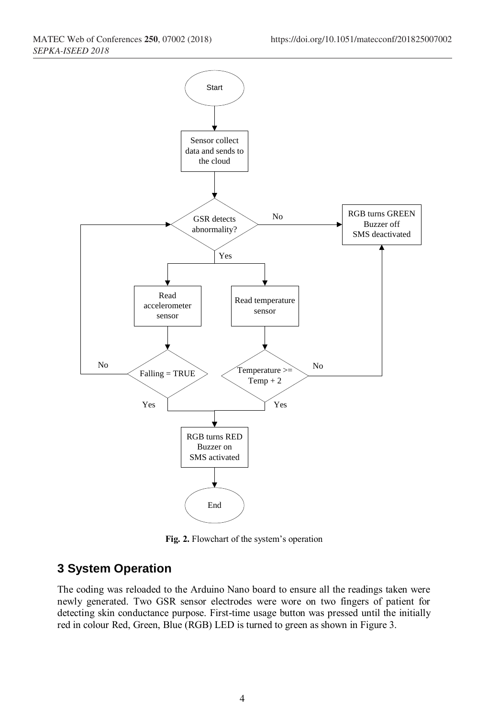

**Fig. 2.** Flowchart of the system's operation

#### **3 System Operation**

The coding was reloaded to the Arduino Nano board to ensure all the readings taken were newly generated. Two GSR sensor electrodes were wore on two fingers of patient for detecting skin conductance purpose. First-time usage button was pressed until the initially red in colour Red, Green, Blue (RGB) LED is turned to green as shown in Figure 3.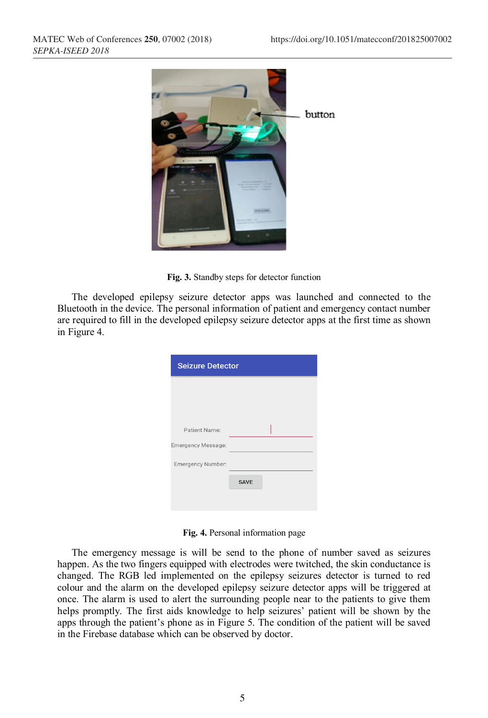



The developed epilepsy seizure detector apps was launched and connected to the Bluetooth in the device. The personal information of patient and emergency contact number are required to fill in the developed epilepsy seizure detector apps at the first time as shown in Figure 4.

| <b>Seizure Detector</b>   |             |  |  |  |  |  |
|---------------------------|-------------|--|--|--|--|--|
|                           |             |  |  |  |  |  |
|                           |             |  |  |  |  |  |
| Patient Name:             |             |  |  |  |  |  |
| <b>Emergency Message:</b> |             |  |  |  |  |  |
| Emergency Number:         |             |  |  |  |  |  |
|                           | <b>SAVE</b> |  |  |  |  |  |
|                           |             |  |  |  |  |  |

**Fig. 4.** Personal information page

The emergency message is will be send to the phone of number saved as seizures happen. As the two fingers equipped with electrodes were twitched, the skin conductance is changed. The RGB led implemented on the epilepsy seizures detector is turned to red colour and the alarm on the developed epilepsy seizure detector apps will be triggered at once. The alarm is used to alert the surrounding people near to the patients to give them helps promptly. The first aids knowledge to help seizures' patient will be shown by the apps through the patient's phone as in Figure 5. The condition of the patient will be saved in the Firebase database which can be observed by doctor.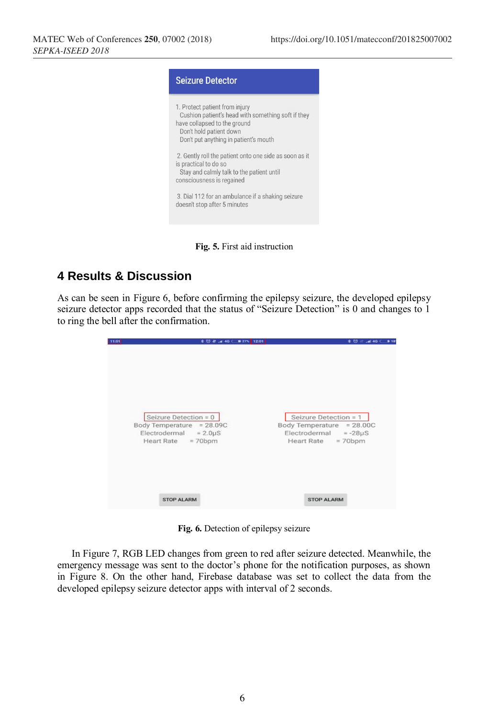

**Fig. 5.** First aid instruction

### **4 Results & Discussion**

As can be seen in Figure 6, before confirming the epilepsy seizure, the developed epilepsy seizure detector apps recorded that the status of "Seizure Detection" is 0 and changes to 1 to ring the bell after the confirmation.

| 11:01 | 本 団 社 .a 40 ( ■ 27% 12:01                                                                               | <b>本型計画40 ●18</b>                                                                                         |
|-------|---------------------------------------------------------------------------------------------------------|-----------------------------------------------------------------------------------------------------------|
|       | Seizure Detection = 0<br>Body Temperature = 28.09C<br>$Electrodermal = 2.0 \mu S$<br>Heart Rate = 70bpm | Seizure Detection = 1<br>Body Temperature = 28.00C<br>Electrodermal $= -28\mu S$<br>Heart Rate = $70$ bpm |
|       | <b>STOP ALARM</b>                                                                                       | <b>STOP ALARM</b>                                                                                         |

**Fig. 6.** Detection of epilepsy seizure

In Figure 7, RGB LED changes from green to red after seizure detected. Meanwhile, the emergency message was sent to the doctor's phone for the notification purposes, as shown in Figure 8. On the other hand, Firebase database was set to collect the data from the developed epilepsy seizure detector apps with interval of 2 seconds.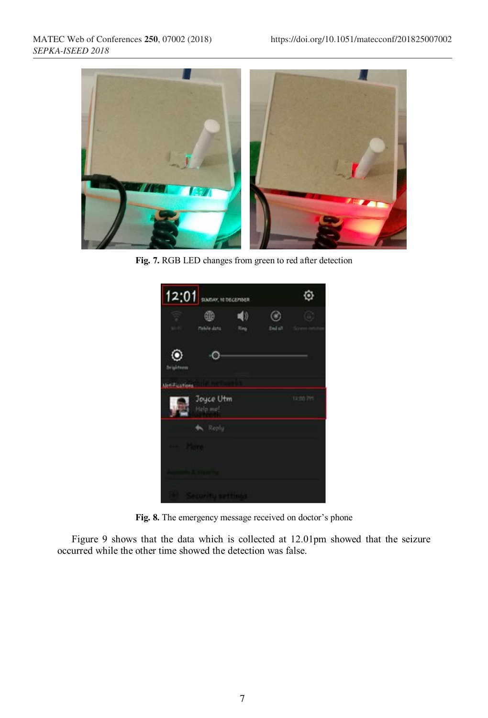

**Fig. 7.** RGB LED changes from green to red after detection



**Fig. 8.** The emergency message received on doctor's phone

Figure 9 shows that the data which is collected at 12.01pm showed that the seizure occurred while the other time showed the detection was false.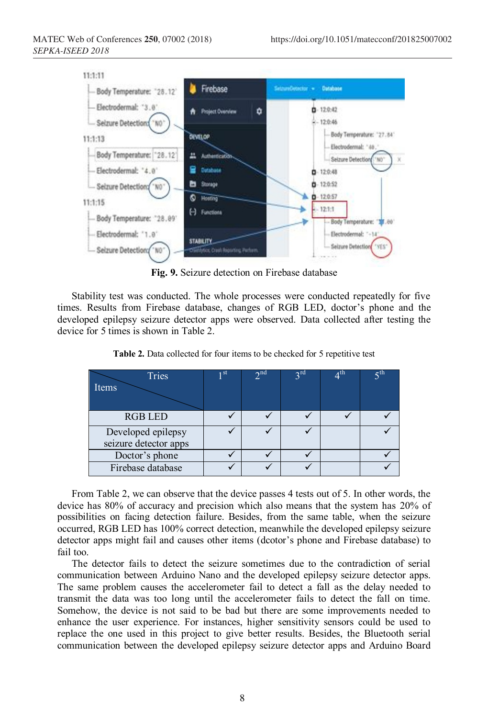

**Fig. 9.** Seizure detection on Firebase database

Stability test was conducted. The whole processes were conducted repeatedly for five times. Results from Firebase database, changes of RGB LED, doctor's phone and the developed epilepsy seizure detector apps were observed. Data collected after testing the device for 5 times is shown in Table 2.

| Tries                 | ı st | $\gamma$ nd | 2 <sup>rd</sup> | $4^{\text{th}}$ | $\varsigma^{\text{th}}$ |
|-----------------------|------|-------------|-----------------|-----------------|-------------------------|
| Items                 |      |             |                 |                 |                         |
|                       |      |             |                 |                 |                         |
| <b>RGB LED</b>        |      |             |                 |                 |                         |
| Developed epilepsy    |      |             |                 |                 |                         |
| seizure detector apps |      |             |                 |                 |                         |
| Doctor's phone        |      |             |                 |                 |                         |
| Firebase database     |      |             |                 |                 |                         |

**Table 2.** Data collected for four items to be checked for 5 repetitive test

From Table 2, we can observe that the device passes 4 tests out of 5. In other words, the device has 80% of accuracy and precision which also means that the system has 20% of possibilities on facing detection failure. Besides, from the same table, when the seizure occurred, RGB LED has 100% correct detection, meanwhile the developed epilepsy seizure detector apps might fail and causes other items (dcotor's phone and Firebase database) to fail too.

The detector fails to detect the seizure sometimes due to the contradiction of serial communication between Arduino Nano and the developed epilepsy seizure detector apps. The same problem causes the accelerometer fail to detect a fall as the delay needed to transmit the data was too long until the accelerometer fails to detect the fall on time. Somehow, the device is not said to be bad but there are some improvements needed to enhance the user experience. For instances, higher sensitivity sensors could be used to replace the one used in this project to give better results. Besides, the Bluetooth serial communication between the developed epilepsy seizure detector apps and Arduino Board